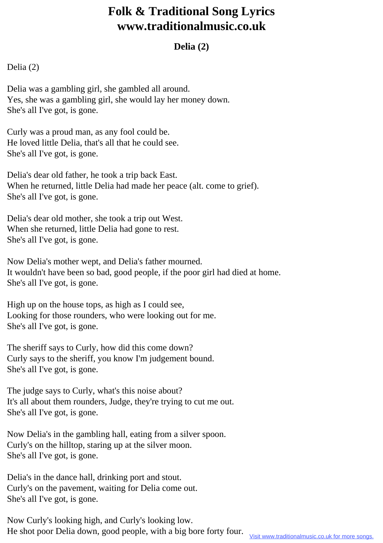## **Folk & Traditional Song Lyrics www.traditionalmusic.co.uk**

## **Delia (2)**

Delia (2)

Delia was a gambling girl, she gambled all around. Yes, she was a gambling girl, she would lay her money down. She's all I've got, is gone.

Curly was a proud man, as any fool could be. He loved little Delia, that's all that he could see. She's all I've got, is gone.

Delia's dear old father, he took a trip back East. When he returned, little Delia had made her peace (alt. come to grief). She's all I've got, is gone.

Delia's dear old mother, she took a trip out West. When she returned, little Delia had gone to rest. She's all I've got, is gone.

Now Delia's mother wept, and Delia's father mourned. It wouldn't have been so bad, good people, if the poor girl had died at home. She's all I've got, is gone.

High up on the house tops, as high as I could see, Looking for those rounders, who were looking out for me. She's all I've got, is gone.

The sheriff says to Curly, how did this come down? Curly says to the sheriff, you know I'm judgement bound. She's all I've got, is gone.

The judge says to Curly, what's this noise about? It's all about them rounders, Judge, they're trying to cut me out. She's all I've got, is gone.

Now Delia's in the gambling hall, eating from a silver spoon. Curly's on the hilltop, staring up at the silver moon. She's all I've got, is gone.

Delia's in the dance hall, drinking port and stout. Curly's on the pavement, waiting for Delia come out. She's all I've got, is gone.

Now Curly's looking high, and Curly's looking low. He shot poor Delia down, good people, with a big bore forty four.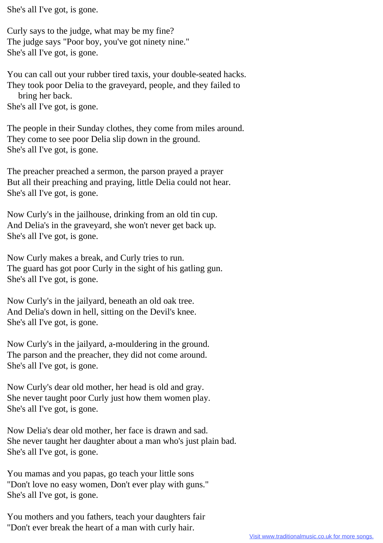She's all I've got, is gone.

Curly says to the judge, what may be my fine? The judge says "Poor boy, you've got ninety nine." She's all I've got, is gone.

You can call out your rubber tired taxis, your double-seated hacks. They took poor Delia to the graveyard, people, and they failed to bring her back. She's all I've got, is gone.

The people in their Sunday clothes, they come from miles around. They come to see poor Delia slip down in the ground. She's all I've got, is gone.

The preacher preached a sermon, the parson prayed a prayer But all their preaching and praying, little Delia could not hear. She's all I've got, is gone.

Now Curly's in the jailhouse, drinking from an old tin cup. And Delia's in the graveyard, she won't never get back up. She's all I've got, is gone.

Now Curly makes a break, and Curly tries to run. The guard has got poor Curly in the sight of his gatling gun. She's all I've got, is gone.

Now Curly's in the jailyard, beneath an old oak tree. And Delia's down in hell, sitting on the Devil's knee. She's all I've got, is gone.

Now Curly's in the jailyard, a-mouldering in the ground. The parson and the preacher, they did not come around. She's all I've got, is gone.

Now Curly's dear old mother, her head is old and gray. She never taught poor Curly just how them women play. She's all I've got, is gone.

Now Delia's dear old mother, her face is drawn and sad. She never taught her daughter about a man who's just plain bad. She's all I've got, is gone.

You mamas and you papas, go teach your little sons "Don't love no easy women, Don't ever play with guns." She's all I've got, is gone.

You mothers and you fathers, teach your daughters fair "Don't ever break the heart of a man with curly hair.